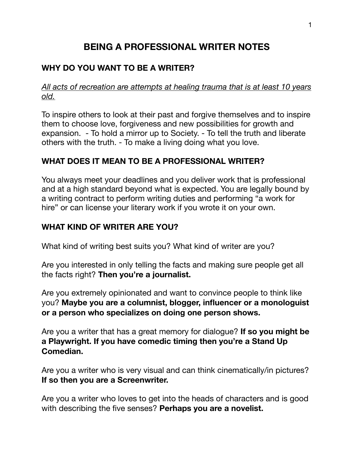# **BEING A PROFESSIONAL WRITER NOTES**

# **WHY DO YOU WANT TO BE A WRITER?**

*All acts of recreation are attempts at healing trauma that is at least 10 years old.* 

To inspire others to look at their past and forgive themselves and to inspire them to choose love, forgiveness and new possibilities for growth and expansion. - To hold a mirror up to Society. - To tell the truth and liberate others with the truth. - To make a living doing what you love.

## **WHAT DOES IT MEAN TO BE A PROFESSIONAL WRITER?**

You always meet your deadlines and you deliver work that is professional and at a high standard beyond what is expected. You are legally bound by a writing contract to perform writing duties and performing "a work for hire" or can license your literary work if you wrote it on your own.

#### **WHAT KIND OF WRITER ARE YOU?**

What kind of writing best suits you? What kind of writer are you?

Are you interested in only telling the facts and making sure people get all the facts right? **Then you're a journalist.** 

Are you extremely opinionated and want to convince people to think like you? **Maybe you are a columnist, blogger, influencer or a monologuist or a person who specializes on doing one person shows.** 

Are you a writer that has a great memory for dialogue? **If so you might be a Playwright. If you have comedic timing then you're a Stand Up Comedian.** 

Are you a writer who is very visual and can think cinematically/in pictures? **If so then you are a Screenwriter.** 

Are you a writer who loves to get into the heads of characters and is good with describing the five senses? **Perhaps you are a novelist.**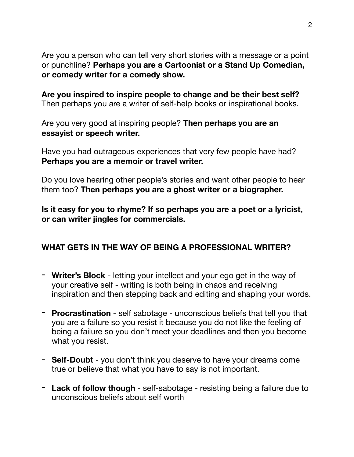Are you a person who can tell very short stories with a message or a point or punchline? **Perhaps you are a Cartoonist or a Stand Up Comedian, or comedy writer for a comedy show.** 

**Are you inspired to inspire people to change and be their best self?**  Then perhaps you are a writer of self-help books or inspirational books.

Are you very good at inspiring people? **Then perhaps you are an essayist or speech writer.** 

Have you had outrageous experiences that very few people have had? **Perhaps you are a memoir or travel writer.** 

Do you love hearing other people's stories and want other people to hear them too? **Then perhaps you are a ghost writer or a biographer.** 

**Is it easy for you to rhyme? If so perhaps you are a poet or a lyricist, or can writer jingles for commercials.** 

#### **WHAT GETS IN THE WAY OF BEING A PROFESSIONAL WRITER?**

- **Writer's Block** letting your intellect and your ego get in the way of your creative self - writing is both being in chaos and receiving inspiration and then stepping back and editing and shaping your words.
- **Procrastination** self sabotage unconscious beliefs that tell you that you are a failure so you resist it because you do not like the feeling of being a failure so you don't meet your deadlines and then you become what you resist.
- **Self-Doubt**  you don't think you deserve to have your dreams come true or believe that what you have to say is not important.
- **Lack of follow though**  self-sabotage resisting being a failure due to unconscious beliefs about self worth